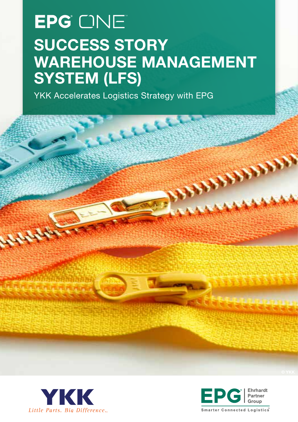# EPG<sup>'</sup> CNE SUCCESS STORY WAREHOUSE MANAGEMENT SYSTEM (LFS)

YKK Accelerates Logistics Strategy with EPG





**CONSTRAINS**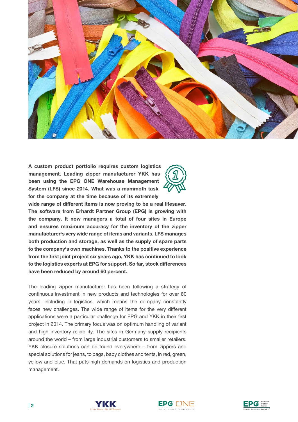

A custom product portfolio requires custom logistics management. Leading zipper manufacturer YKK has been using the EPG ONE Warehouse Management System (LFS) since 2014. What was a mammoth task for the company at the time because of its extremely



wide range of different items is now proving to be a real lifesaver. The software from Erhardt Partner Group (EPG) is growing with the company. It now managers a total of four sites in Europe and ensures maximum accuracy for the inventory of the zipper manufacturer's very wide range of items and variants. LFS manages both production and storage, as well as the supply of spare parts to the company's own machines. Thanks to the positive experience from the first joint project six years ago, YKK has continued to look to the logistics experts at EPG for support. So far, stock differences have been reduced by around 60 percent.

The leading zipper manufacturer has been following a strategy of continuous investment in new products and technologies for over 80 years, including in logistics, which means the company constantly faces new challenges. The wide range of items for the very different applications were a particular challenge for EPG and YKK in their first project in 2014. The primary focus was on optimum handling of variant and high inventory reliability. The sites in Germany supply recipients around the world – from large industrial customers to smaller retailers. YKK closure solutions can be found everywhere – from zippers and special solutions for jeans, to bags, baby clothes and tents, in red, green, yellow and blue. That puts high demands on logistics and production management.





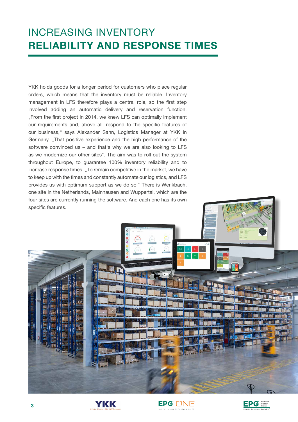#### INCREASING INVENTORY RELIABILITY AND RESPONSE TIMES

YKK holds goods for a longer period for customers who place regular orders, which means that the inventory must be reliable. Inventory management in LFS therefore plays a central role, so the first step involved adding an automatic delivery and reservation function. "From the first project in 2014, we knew LFS can optimally implement our requirements and, above all, respond to the specific features of our business," says Alexander Sann, Logistics Manager at YKK in Germany. "That positive experience and the high performance of the software convinced us – and that's why we are also looking to LFS as we modernize our other sites". The aim was to roll out the system throughout Europe, to guarantee 100% inventory reliability and to increase response times. "To remain competitive in the market, we have to keep up with the times and constantly automate our logistics, and LFS provides us with optimum support as we do so." There is Wenkbach, one site in the Netherlands, Mainhausen and Wuppertal, which are the four sites are currently running the software. And each one has its own specific features.







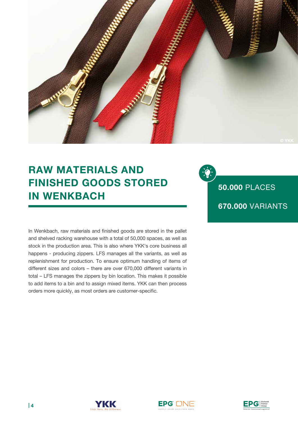

### RAW MATERIALS AND FINISHED GOODS STORED IN WENKBACH

50.000 PLACES 670.000 VARIANTS

In Wenkbach, raw materials and finished goods are stored in the pallet and shelved racking warehouse with a total of 50,000 spaces, as well as stock in the production area. This is also where YKK's core business all happens - producing zippers. LFS manages all the variants, as well as replenishment for production. To ensure optimum handling of items of different sizes and colors – there are over 670,000 different variants in total – LFS manages the zippers by bin location. This makes it possible to add items to a bin and to assign mixed items. YKK can then process orders more quickly, as most orders are customer-specific.



EPG [1]



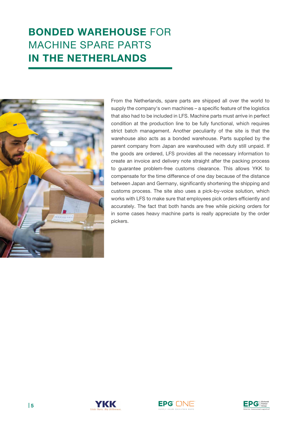## BONDED WAREHOUSE FOR MACHINE SPARE PARTS IN THE NETHERLANDS



From the Netherlands, spare parts are shipped all over the world to supply the company's own machines – a specific feature of the logistics that also had to be included in LFS. Machine parts must arrive in perfect condition at the production line to be fully functional, which requires strict batch management. Another peculiarity of the site is that the warehouse also acts as a bonded warehouse. Parts supplied by the parent company from Japan are warehoused with duty still unpaid. If the goods are ordered, LFS provides all the necessary information to create an invoice and delivery note straight after the packing process to guarantee problem-free customs clearance. This allows YKK to compensate for the time difference of one day because of the distance between Japan and Germany, significantly shortening the shipping and customs process. The site also uses a pick-by-voice solution, which works with LFS to make sure that employees pick orders efficiently and accurately. The fact that both hands are free while picking orders for in some cases heavy machine parts is really appreciate by the order pickers.



YKK

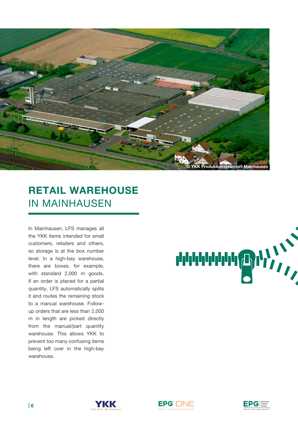

## RETAIL WAREHOUSE IN MAINHAUSEN

In Mainhausen, LFS manages all the YKK items intended for small customers, retailers and others, so storage is at the box number level. In a high-bay warehouse, there are boxes, for example, with standard 2,000 m goods. If an order is placed for a partial quantity, LFS automatically splits it and routes the remaining stock to a manual warehouse. Followup orders that are less than 2,000 m in length are picked directly from the manual/part quantity warehouse. This allows YKK to prevent too many confusing items being left over in the high-bay warehouse.







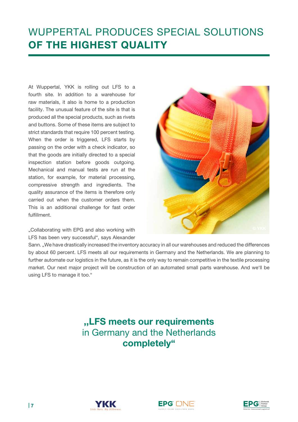## WUPPERTAL PRODUCES SPECIAL SOLUTIONS OF THE HIGHEST QUALITY

At Wuppertal, YKK is rolling out LFS to a fourth site. In addition to a warehouse for raw materials, it also is home to a production facility. The unusual feature of the site is that is produced all the special products, such as rivets and buttons. Some of these items are subject to strict standards that require 100 percent testing. When the order is triggered, LFS starts by passing on the order with a check indicator, so that the goods are initially directed to a special inspection station before goods outgoing. Mechanical and manual tests are run at the station, for example, for material processing, compressive strength and ingredients. The quality assurance of the items is therefore only carried out when the customer orders them. This is an additional challenge for fast order fulfillment.

"Collaborating with EPG and also working with LFS has been very successful", says Alexander



Sann. "We have drastically increased the inventory accuracy in all our warehouses and reduced the differences by about 60 percent. LFS meets all our requirements in Germany and the Netherlands. We are planning to further automate our logistics in the future, as it is the only way to remain competitive in the textile processing market. Our next major project will be construction of an automated small parts warehouse. And we'll be using LFS to manage it too."

#### ,,LFS meets our requirements in Germany and the Netherlands completely"